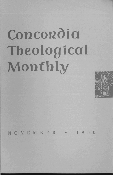# **Concordia Theological Monthly**



NOVEMBER • 1950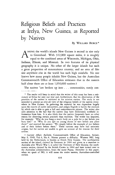# Religious Beliefs and Practices at Irelya, New Guinea, as Reported by Natives

## By WILLARD BURCE \*

AMONG the world's islands New Guinea is second in size only to Greenland. With 312,000 square miles, it is roughly equal to the combined areas of Wisconsin, Michigan, Ohio, Indiana, Illinois, and Missouri. In two features of its physical geography it is unique. No other of the larger islands has such a great proportion of mountainous country; and no area of like size anywhere else in the world has such high rainfalls. No one knows how many people inhabit New Guinea, but the Australian Commonwealth Office of Education estimates that in the eastern half alone there are at least  $1,050,000$  natives.<sup>†</sup>

The natives "are broken up into ... communities, rarely con-

<sup>\*</sup> The reader will keep in mind that the writer of this essay has been a missionary at Irelya for only one year and, furthermore, that his observation of the practices of the natives is restricted to his mission station. The study is not intended to present an over-all view of the religious beliefs of the natives everywhere in New Guinea. In gathering the material he was dependent largely upon the reports of native interpreters, and pidgin English is hardly the medium by which one is able to gain a full and comprehensive picture. The writer also calls attention to the fact that the natives may have deliberately withheld information from him. It is also likely that the natives frequently have no other reason for observing certain practices than tradition. The writer has inquired, for example: "Why do you hang a man's body on a pole for a day before you bury him?" or "Why do you spit on young shoots of taro before you plant them?" and received the answer: "We simply follow the example of our fathers and of their fathers before them." These customs may have had animistic origins, but the natives are unable to give an account of the reasons for their actions.

t *Current Affairs Bulletin,* Commonwealth Office of Education, Sydney, May 9, 1949, Vol. 4, No.4. Names present a difficulty. Western NG, long held by the Netherlands, is known as Dutch New Guinea. The northeastern section of the island, claimed by Germany in 1884 and given as a mandate to Australia after World War I, is called the Territory of New Guinea; the southeastern section, claimed by the British Crown in 1884 and later turned over to the Australian administration, bears the name Papua. Hereafter in this paper, when we speak of NG, it will mean the entire eastern, Australian-controlled section.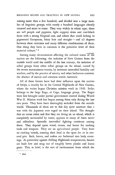taining more than a few hundred; and divided into a large number of linguistic groups, with nearly a hundred languages already counted and more to come. They vary widely in ethnic type; there are tall people and pygmies, light coppery skins and coal-black faces with a strong Negroid cast, and others that could belong to pigmented Europeans, frizzy hair and straight - and all degrees between these extremes and many different combinations of them. One thing they have in common is the primitive level of their material culture." \*

Among many circumstances affecting the cultural status of the natives are the following: the isolation of New Guinea from the outside world until the middle of the last century; the isolation of tribal groups from other tribal groups on the island, caused by the severe mountainous terrain, by incessant intertribal hostility and warfare, and by the practice of sorcery and other barbarous customs; the absence of metals and common textile materials.

All of these factors have had their influence upon the natives of Irelya, a locality far in the Central Highlands of New Guinea, where the writer began Christian mission work in 1949. Irelya belongs to the large Enga, or Caga, language group. The Engas were first brought under partial government control during World War II. Mission work has begun among them only during the last two years. They have been thoroughly secluded from the outside world. Thousands of them are to this day quite unaware that a war with the Japanese ever raged on their island. The thought that an ocean exists and that they are living on an island, which is completely surrounded by water, appears to many of them novel and ridiculous. Sporadic intertribal fighting continues among them. They depend upon wood, stones, and bones for making tools and weapons. They are an agricultural people. They have no cooking vessels, roasting their food in the open fire or in covered pits. Bark, leaves, and rushes are fashioned into body coverings. As protection against chilling Highlands temperatures, houses are built low and snug out of roughly hewn planks and kunai grass. This, in brief, is the sort of environment from which the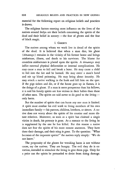material for the following report on religious beliefs and practices is drawn.

The religious factors exerting most influence on the lives of the natives around Irelya are their beliefs concerning the spirits of the dead and their belief in sorcery — the fear of ghosts and the fear of black magic.

#### 1. GHOSTS

The natives among whom we work live in dread of the spirits of the dead. It is believed that when a man dies, his ghost (*timaungo*) remains in the vicinity of his former home and brings misfortune, illness, and death to his survivors. The blame for countless misfortunes is placed upon the spirits. A *timaungo* may inflict external physical deformities or internal complications. He may cause a man to fall and break a bone. He may cause a child to fall into the fire and be burned. He may enter a man's hand and stir up blood poisoning. He may bring about insanity. He may attack a native walking in the bush and kill him on the spot. If the pigs sicken and die, or if the house goes up in flames, it is the doings of a ghost. If a man is more prosperous than his fellows, *it* is said his family spirits are less vicious in their habits than those of other men. The spirits are said never to do good to the livingonly harm.

But the number of spirits that can harm anyone man is limited. A spirit must confine his evil work to living members of his own immediate family - his parents, children, brothers, or sisters. A native does not worry about the spirits of his cousins and more distant relatives. Moreover, as soon as a spirit has claimed a single victim in death, his potency is gone. As a menace to the living he is supplanted by the one he has killed. For this reason a native does not fear the spirits of his more remote ancestors. They have done their damage, and their sting is gone. To the question: "What becomes of the impotent spirits?" the natives reply simply: "We do not know."

The propensity of the ghosts for wreaking harm is not without cause, say the natives. They are hungry. The evil they do is extortion, intended to stimulate the living to give them pigs. Only for a price can the spirits be persuaded to desist from doing damage.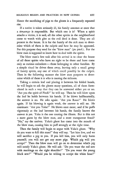Hence the sacrificing of pigs to the ghosts is a frequently repeated rite.

If a native is taken seriously ill, his family assumes at once that a *timaungo* is responsible. But which one is it? When a spirit attacks a victim, it *is* said, all the other spirits in the neighborhood come to watch with glee as the evil deed is done. They are all present in the house. It is for the family of the sick man to determine which of them is the culprit and how he may be appeased. For this purpose they send for the "blow man" *(po pink).* For the blow man is supposed to know how to deal with the spirits.

The blow man's first task after his arrival is to clear the house of all those spirits who have no right to be there and have come only as curious onlookers - those belonging to other families. By a simple ritual he drives them away, leaving only a small group of family spirits, anyone of which could possibly be the culprit. Then in the following manner the blow man purports to determine which of these it is who is causing the sickness.

Taking a certain leaf and placing it between his folded hands, he will begin to ask the ghosts many questions, all of them formulated in such a way that they can be answered either yes or no. "Are you the spirit of Pindi?" he will say. Then he will blow upon the leaf he holds between his hands. If he blows halfheartedly, the answer is no. He asks again: "Are you Raua?" He blows again. If his blowing is again weak, the answer is still no. He continues: "Are you Yaka?" He blows once more; and if he puffs vigorously at the leaf between his hands, the family knows the answer is yes. Yaka is the one causing the illness. But is this not a mere guess by the blow man, and a most transparent fraud? "No," say the natives. Yaka's ghost has come into the mouth of the blow man, causing him to puff strongly at the right time.

Then the family will begin to argue with Yaka's ghost. "Why do you want to kill this man?" they will say. "Let him live, and we will sacrifice a pig to you. If you kill him, you will only harm yourself; you will not get any more pigs. Which pig will you accept?" Then the blow man will go on to determine which pig will satisfy Yaka's ghost. He will ask: "Do you want the red sow with markings on the right shoulder?" "Do you want the young black sow?" "Would you be willing to accept the white boar?"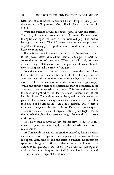Each time he asks, he will blow; and he will keep on asking until the vigorous puffing comes. Then all will know that is the pig to kill.

With this question settled, the natives proceed with the sacrifice. The spirit, of course, can consume only spirit meat. He feasts upon the spirit and upon the smell of the sacrificed pig. The carcass belongs to the living. The pig's owner may use it to stage a feast, or perhaps to repay gifts of pork he has received in the past, or for home consumption.

But it is not only in cases of sickness that the natives sacrifice to the ghosts. Often, they admit, their own hunger for pork becomes the occasion of a sacrifice. When they kill a pig for their own use, they will think of a certain spirit and designate him to receive the spirit and the smell of the pig.

Sometimes it occurs that in a time of illness the family loses faith in the blow man and doubts the truth of his findings. In that case they may call in another man whose methods are considered more reliable. This man is known as the "whistle man" (yakaiyop). While the blowing method of questioning may be conducted in the daytime, not so the whistle man's ritual. This can be done only in the dead of night when the door has been fastened and the fire has died down. The whistle man is there, and the relatives of the patient. The whistle man questions the spirits just as the blow man did. But he uses no leaf. He asks a question, and if there is no sound in response, the answer is no. He voices another query. There is a sudden whistle. Everyone feels a quick fright; for by the whistle the ghost has spoken through the mouth of someone in the group.

The blow man receives no pay for his services, but it is customary to give the more highly regarded whistle man a small remuneration.

At Yaramanda the natives use another method to learn the deeds and intentions of the spirits. The equipment of the man in charge is a spear. Each time he asks the spirits a question, he thrusts the spear into the ground. If he is able to withdraw it easily, the answer to his question is no. He will go on with his interrogation until he thrusts in his spear and finds it held fast in the ground. This is the awaited sign of the affirmative.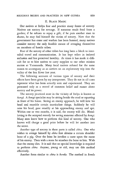#### II. BLACK MAGIC

Our natives at Irelya fear and practice many forms of sorcery. Natives use sorcery for revenge. If someone steals food from a garden; if he refuses to repay a gift; if he puts another man to shame, he may find himself the victim of sorcery. Now that the government has come and warfare has been banned, many natives consider sorcery the only feasible means of avenging themselves on members of hostile tribes.

Fear of the sorcery of other tribes has long been a block to intertribal travel and communication. It has kept tribes in isolated seclusion and has preserved hostility. At times it has made it difficult for us to hire natives to carry supplies to our other mission station at Yaramanda. Many local natives refused for the same reason to accompany us as carriers on an exploratory trip into the valley of the Sau River last year.

The following accounts of various types of sorcery and their effects have been given by my interpreters. They do not in all cases represent what has been actually seen and experienced. They are presented only as a record of common belief and rumor about sorcery and its power.

The sorcery practiced most in the vicinity of Irelya is known as *kongi.* A *kongi* specialist may be sitting beside the road or squatting in front of his house. Seeing an enemy approach, he will bow his head and mumble certain inarticulate things. Suddenly he will raise his head, gaze steadily at his approaching enemy and spit. Within one or two months, it is said, the enemy will die. Bloodletting is the accepted remedy for saving someone affected by *kongi.*  Many men know how to perform this kind of sorcery. One who knows will charge a good price before he will let another into the secret.

Another type of sorcery in these parts is called *chira.* One who wishes to avenge himself by *chira* first obtains a certain shoulder bone of a pig. Over the bone he invokes a curse upon the name of his enemy. Then with a stone he smashes the bone to bits. With that the enemy dies. It is said that no special knowledge is required to perform *chira.* Anyone, young or old, may use this method effectively.

Another form similar to *chira* is *konda*. The method in *konda*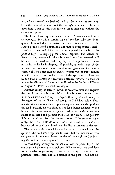is to take a piece of new bark of the kind the natives use for tying. Over the piece of bark call out the enemy's name and wish death upon him. Then cut the bark in two. As it dries and withers, the enemy will perish.

The form of sorcery widely used around Yaramanda is known as *tromogai.* For this a certain type of powdery substance is required. It is said that the natives purchase this material from the Hagen people east of Yaramanda, and that its composition is herbs, powdered bones, and fluids from a decomposed human body. Its price is high  $-$  a large pig for a small capsule. The natives believe that any contact with the substance, internal or external, will be fatal. The usual method, they say, is to approach an enemy in stealth while he is sleeping. If possible, sprinkle some of the substance in his mouth or on his skin and garments. Or hang a capsule of it on a tree near his house. Within two or three months he will be dead. I am told that one of the symptoms of infection by this kind of sorcery is a fearfully distended mouth. An incident written by Missionary Hintze and published in the *Lutheran Witness*  of August 23,1949, deals with *tromogai.* 

Another variety of sorcery known as *malagori* similarly requires the use of a secret substance. What this substance is, none of my informants were able to say. *Malagori,* they say, is used widely in the region of the Sau River and along the Lai River below Yaramanda. A man who wishes to put *malagori* to use stands up along the road. Possibly he will climb a tree for a better lookout. When he sees his enemy coming along the road, he takes the secret substance in his hand and gestures with it at the victim. If he gestures lightly, the victim dies after he gets home. If he gestures vigorously, the victim falls down at once; his beard, hair, and skin become brittle, crack, and break; and he dies in torment on the spot.

The natives with whom I have talked assert that magic and the spirits of the dead work together for evil. But the manner of their co-operation is not clear. Some conceive of the magic spell as inciting the victim's family spirits to kill him.

In considering sorcery, we cannot disallow the possibility of the use of actual pharmaceutical poisons. Whether such are used here we are unable as yet to say. It would be strange if there were no poisonous plants here, and also strange if the people had not dis-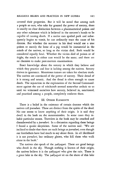covered their properties. But it will be noted that among such a people as ours, who take for granted the power of sorcery, there is usually no clear distinction between a pharmaceutical poison and any other substance which is believed in the sorcerer's hands to be capable of causing death. If a native eats spoiled pork and subsequently begins to vomit, he can ordinarily trace the cause of his distress. But whether the sorcerer in his deed would use a true poison or merely the bone of a pig would be immaterial in the minds of the natives, so long as the victim died. Both would be considered equally fatal. Whether the victim died of poison or of fright, the result in either case would be the same; and there are no chemists to make post-mortem examinations.

Exact knowledge about the sorcery in which they believe and which they practice and fear is lacking among the natives. Sorcery thrives in ignorance. Monstrous rumors are taken for absolute truth. The natives are convinced of the power of sorcery. Their dread of it is strong and satanic. And the dread is often enough to cause death. The injunction in the explanation of the Second Commandment against the use of witchcraft seemed somewhat archaic to us until we witnessed ourselves how sorcery, believed in, sanctioned, and practiced among a people, completely enslaves them.

### III. OTHER ELEMENTS

There is a belief in the existence of certain demons which the natives call *puruduri.* These are distinct from the spirits of the dead. No one seems to know anything of their origin. It is said they dwell in the bush on the mountainsides. In some cases they inhabit particular stones. Travelers in the bush may be attacked and disemboweled by a *puruduri*. In a discussion regarding these beings I found a quaint skepticism. Some of the natives said: "We are inclined to doubt that there are such beings as *puruduri*, even though our forefathers have had much to say about them. In all likelihood it is not *puruduri*, but ordinary ghosts, who kill those who walk alone in the bush."

The natives also speak of the *yailyagari.* These are good beings who dwell in the sky. Though nothing is known of their origin, the natives believe it is the *yailyagari* who give the rain. There is a great lake in the sky. The *yailyagari* sit on the shore of this lake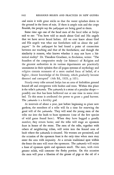and smite it with great sticks so that the water splashes down to the ground in the form of rain. If there is ample rain and the crops flourish, the people say the *yailyagari* are being good to them.

Some time ago one of the head men of the local tribe at Irelya said to me: "You have told us much about God and His angels that we have never heard before. All we ever knew about God and His angels was what our forefathers told us about the *yailyagari."* In the *yailyagari* he had found a point of connection between our teaching and that of the forefathers; and though the similarity is remote, who knows whether it may not have a historical reality? Dr. Theodore Graebner, in *Evolution,* writes: "The founders of the comparative study (or Science) of Religion and the greatest authorities in its various departments are practically unanimous in their opinion that all pagan systems of mythology and religion contain remnants of a more exalted form of belief, of a higher, clearer knowledge of the Divinity, which gradually became dimmed and corrupted" (4th Ed., 1929, p. 105).

Nearly every tribe around Irelya has an area of forbidden ground fenced off and overgrown with bushes and trees. Within this place is the tribe's *yainanda*. The *yainanda* is a stone of a peculiar shapepossibly one that has been hollowed out at one time in some river bed. To this stone is attributed the power to grant a good harvest. The *'yainanda* is a fertility god.

At intervals of about a year, just before beginning to plant new gardens, the members of a tribe will fix a time for renewing the good will of the *yainanda.* They will send the young men of the tribe out into the bush to hunt opossums (one of the few species of wild game found here). When they have bagged a goodly number, they return home; and the tribe will stage an opossum feast in honor of the stone. The men of the tribe, together with others of neighboring tribes, will retire into the fenced area of bush where the *yainanda* is situated. No women are permitted, and the occasion of the opossum feast is the only time when men may enter the area with impunity. At a certain traditional spot within the fence the men will roast the opossums. The *yainanda* will enjoy a feast of opossum spirit and opossum smell. The men, with even greater relish, will consume the fleshy portion. On this occasion the men will pour a libation of the grease of pigs or the oil of a